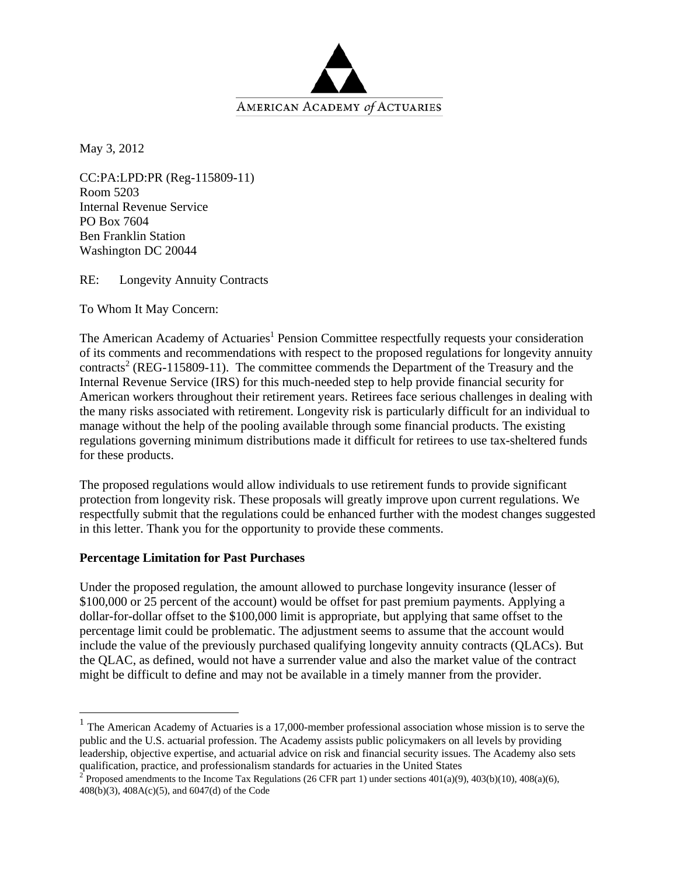

May 3, 2012

CC:PA:LPD:PR (Reg-115809-11) Room 5203 Internal Revenue Service PO Box 7604 Ben Franklin Station Washington DC 20044

RE: Longevity Annuity Contracts

To Whom It May Concern:

The American Academy of Actuaries<sup>1</sup> Pension Committee respectfully requests your consideration of its comments and recommendations with respect to the proposed regulations for longevity annuity contracts<sup>2</sup> (REG-115809-11). The committee commends the Department of the Treasury and the Internal Revenue Service (IRS) for this much-needed step to help provide financial security for American workers throughout their retirement years. Retirees face serious challenges in dealing with the many risks associated with retirement. Longevity risk is particularly difficult for an individual to manage without the help of the pooling available through some financial products. The existing regulations governing minimum distributions made it difficult for retirees to use tax-sheltered funds for these products.

The proposed regulations would allow individuals to use retirement funds to provide significant protection from longevity risk. These proposals will greatly improve upon current regulations. We respectfully submit that the regulations could be enhanced further with the modest changes suggested in this letter. Thank you for the opportunity to provide these comments.

#### **Percentage Limitation for Past Purchases**

 $\overline{a}$ 

Under the proposed regulation, the amount allowed to purchase longevity insurance (lesser of \$100,000 or 25 percent of the account) would be offset for past premium payments. Applying a dollar-for-dollar offset to the \$100,000 limit is appropriate, but applying that same offset to the percentage limit could be problematic. The adjustment seems to assume that the account would include the value of the previously purchased qualifying longevity annuity contracts (QLACs). But the QLAC, as defined, would not have a surrender value and also the market value of the contract might be difficult to define and may not be available in a timely manner from the provider.

<sup>&</sup>lt;sup>1</sup> The American Academy of Actuaries is a 17,000-member professional association whose mission is to serve the public and the U.S. actuarial profession. The Academy assists public policymakers on all levels by providing leadership, objective expertise, and actuarial advice on risk and financial security issues. The Academy also sets qualification, practice, and professionalism standards for actuaries in the United States  $\frac{2}{3}$  Proposed amendments to the Income Tax Regulations (26 CFR part 1) under sections 401(a)(9), 403(b)(10), 408(a)(6),

<sup>408(</sup>b)(3), 408A(c)(5), and 6047(d) of the Code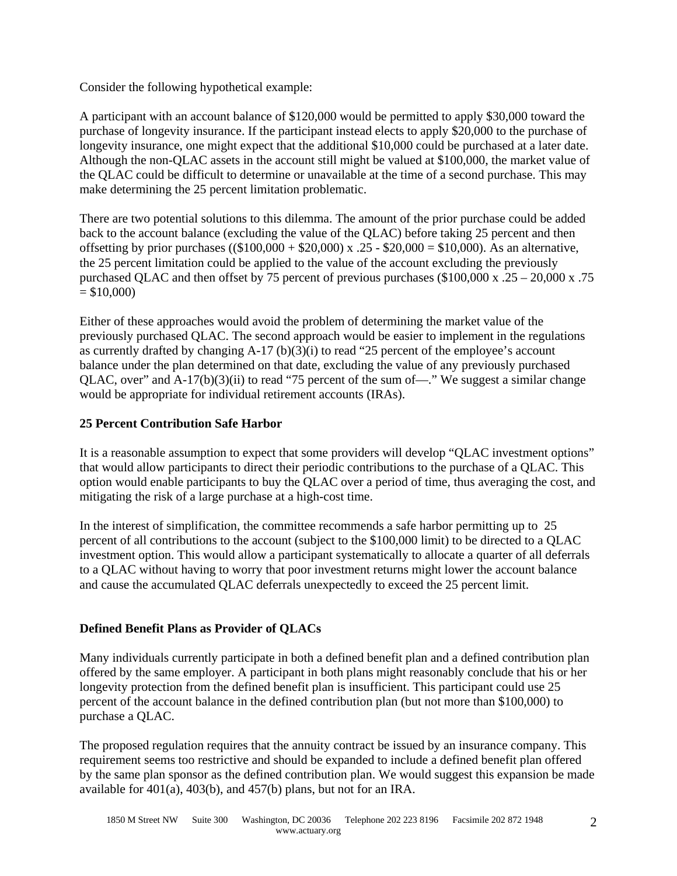Consider the following hypothetical example:

A participant with an account balance of \$120,000 would be permitted to apply \$30,000 toward the purchase of longevity insurance. If the participant instead elects to apply \$20,000 to the purchase of longevity insurance, one might expect that the additional \$10,000 could be purchased at a later date. Although the non-QLAC assets in the account still might be valued at \$100,000, the market value of the QLAC could be difficult to determine or unavailable at the time of a second purchase. This may make determining the 25 percent limitation problematic.

There are two potential solutions to this dilemma. The amount of the prior purchase could be added back to the account balance (excluding the value of the QLAC) before taking 25 percent and then offsetting by prior purchases  $((\$100,000 + \$20,000) \times .25 - \$20,000 = \$10,000)$ . As an alternative, the 25 percent limitation could be applied to the value of the account excluding the previously purchased QLAC and then offset by 75 percent of previous purchases (\$100,000 x .25 – 20,000 x .75  $= $10,000$ 

Either of these approaches would avoid the problem of determining the market value of the previously purchased QLAC. The second approach would be easier to implement in the regulations as currently drafted by changing  $A-17$  (b)(3)(i) to read "25 percent of the employee's account balance under the plan determined on that date, excluding the value of any previously purchased QLAC, over" and A-17(b)(3)(ii) to read "75 percent of the sum of—." We suggest a similar change would be appropriate for individual retirement accounts (IRAs).

# **25 Percent Contribution Safe Harbor**

It is a reasonable assumption to expect that some providers will develop "QLAC investment options" that would allow participants to direct their periodic contributions to the purchase of a QLAC. This option would enable participants to buy the QLAC over a period of time, thus averaging the cost, and mitigating the risk of a large purchase at a high-cost time.

In the interest of simplification, the committee recommends a safe harbor permitting up to 25 percent of all contributions to the account (subject to the \$100,000 limit) to be directed to a QLAC investment option. This would allow a participant systematically to allocate a quarter of all deferrals to a QLAC without having to worry that poor investment returns might lower the account balance and cause the accumulated QLAC deferrals unexpectedly to exceed the 25 percent limit.

# **Defined Benefit Plans as Provider of QLACs**

Many individuals currently participate in both a defined benefit plan and a defined contribution plan offered by the same employer. A participant in both plans might reasonably conclude that his or her longevity protection from the defined benefit plan is insufficient. This participant could use 25 percent of the account balance in the defined contribution plan (but not more than \$100,000) to purchase a QLAC.

The proposed regulation requires that the annuity contract be issued by an insurance company. This requirement seems too restrictive and should be expanded to include a defined benefit plan offered by the same plan sponsor as the defined contribution plan. We would suggest this expansion be made available for 401(a), 403(b), and 457(b) plans, but not for an IRA.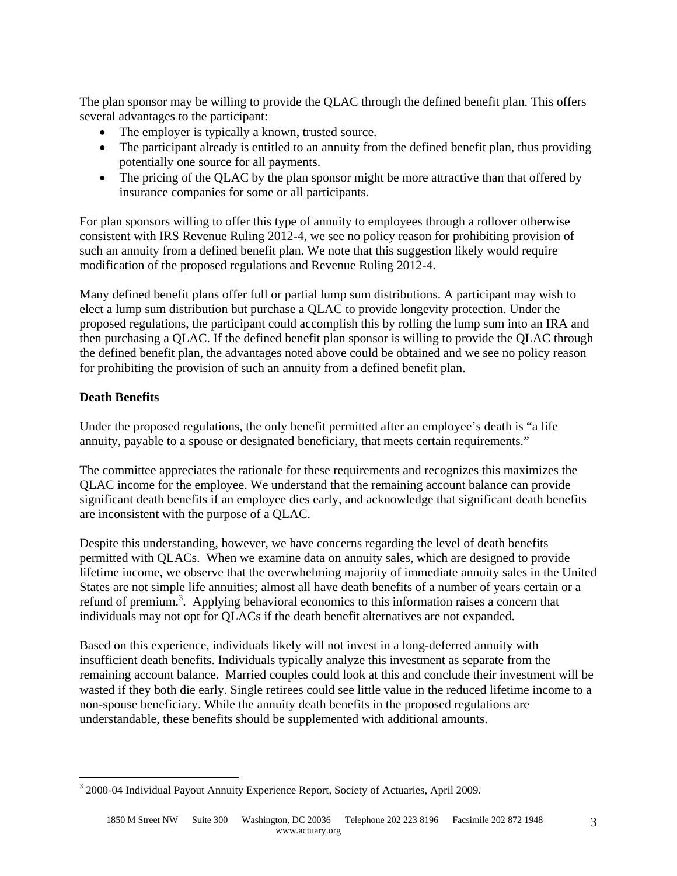The plan sponsor may be willing to provide the QLAC through the defined benefit plan. This offers several advantages to the participant:

- The employer is typically a known, trusted source.
- The participant already is entitled to an annuity from the defined benefit plan, thus providing potentially one source for all payments.
- The pricing of the QLAC by the plan sponsor might be more attractive than that offered by insurance companies for some or all participants.

For plan sponsors willing to offer this type of annuity to employees through a rollover otherwise consistent with IRS Revenue Ruling 2012-4, we see no policy reason for prohibiting provision of such an annuity from a defined benefit plan. We note that this suggestion likely would require modification of the proposed regulations and Revenue Ruling 2012-4.

Many defined benefit plans offer full or partial lump sum distributions. A participant may wish to elect a lump sum distribution but purchase a QLAC to provide longevity protection. Under the proposed regulations, the participant could accomplish this by rolling the lump sum into an IRA and then purchasing a QLAC. If the defined benefit plan sponsor is willing to provide the QLAC through the defined benefit plan, the advantages noted above could be obtained and we see no policy reason for prohibiting the provision of such an annuity from a defined benefit plan.

# **Death Benefits**

 $\overline{a}$ 

Under the proposed regulations, the only benefit permitted after an employee's death is "a life annuity, payable to a spouse or designated beneficiary, that meets certain requirements."

The committee appreciates the rationale for these requirements and recognizes this maximizes the QLAC income for the employee. We understand that the remaining account balance can provide significant death benefits if an employee dies early, and acknowledge that significant death benefits are inconsistent with the purpose of a QLAC.

Despite this understanding, however, we have concerns regarding the level of death benefits permitted with QLACs. When we examine data on annuity sales, which are designed to provide lifetime income, we observe that the overwhelming majority of immediate annuity sales in the United States are not simple life annuities; almost all have death benefits of a number of years certain or a refund of premium.<sup>3</sup>. Applying behavioral economics to this information raises a concern that individuals may not opt for QLACs if the death benefit alternatives are not expanded.

Based on this experience, individuals likely will not invest in a long-deferred annuity with insufficient death benefits. Individuals typically analyze this investment as separate from the remaining account balance. Married couples could look at this and conclude their investment will be wasted if they both die early. Single retirees could see little value in the reduced lifetime income to a non-spouse beneficiary. While the annuity death benefits in the proposed regulations are understandable, these benefits should be supplemented with additional amounts.

<sup>&</sup>lt;sup>3</sup> 2000-04 Individual Payout Annuity Experience Report, Society of Actuaries, April 2009.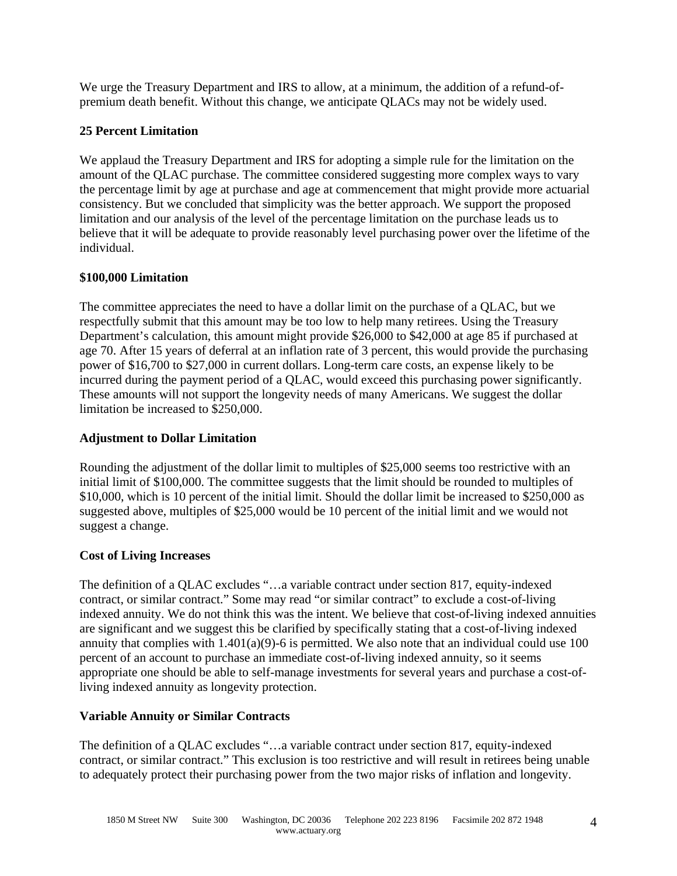We urge the Treasury Department and IRS to allow, at a minimum, the addition of a refund-ofpremium death benefit. Without this change, we anticipate QLACs may not be widely used.

# **25 Percent Limitation**

We applaud the Treasury Department and IRS for adopting a simple rule for the limitation on the amount of the QLAC purchase. The committee considered suggesting more complex ways to vary the percentage limit by age at purchase and age at commencement that might provide more actuarial consistency. But we concluded that simplicity was the better approach. We support the proposed limitation and our analysis of the level of the percentage limitation on the purchase leads us to believe that it will be adequate to provide reasonably level purchasing power over the lifetime of the individual.

## **\$100,000 Limitation**

The committee appreciates the need to have a dollar limit on the purchase of a QLAC, but we respectfully submit that this amount may be too low to help many retirees. Using the Treasury Department's calculation, this amount might provide \$26,000 to \$42,000 at age 85 if purchased at age 70. After 15 years of deferral at an inflation rate of 3 percent, this would provide the purchasing power of \$16,700 to \$27,000 in current dollars. Long-term care costs, an expense likely to be incurred during the payment period of a QLAC, would exceed this purchasing power significantly. These amounts will not support the longevity needs of many Americans. We suggest the dollar limitation be increased to \$250,000.

## **Adjustment to Dollar Limitation**

Rounding the adjustment of the dollar limit to multiples of \$25,000 seems too restrictive with an initial limit of \$100,000. The committee suggests that the limit should be rounded to multiples of \$10,000, which is 10 percent of the initial limit. Should the dollar limit be increased to \$250,000 as suggested above, multiples of \$25,000 would be 10 percent of the initial limit and we would not suggest a change.

## **Cost of Living Increases**

The definition of a QLAC excludes "…a variable contract under section 817, equity-indexed contract, or similar contract." Some may read "or similar contract" to exclude a cost-of-living indexed annuity. We do not think this was the intent. We believe that cost-of-living indexed annuities are significant and we suggest this be clarified by specifically stating that a cost-of-living indexed annuity that complies with  $1.401(a)(9)$ -6 is permitted. We also note that an individual could use 100 percent of an account to purchase an immediate cost-of-living indexed annuity, so it seems appropriate one should be able to self-manage investments for several years and purchase a cost-ofliving indexed annuity as longevity protection.

## **Variable Annuity or Similar Contracts**

The definition of a QLAC excludes "…a variable contract under section 817, equity-indexed contract, or similar contract." This exclusion is too restrictive and will result in retirees being unable to adequately protect their purchasing power from the two major risks of inflation and longevity.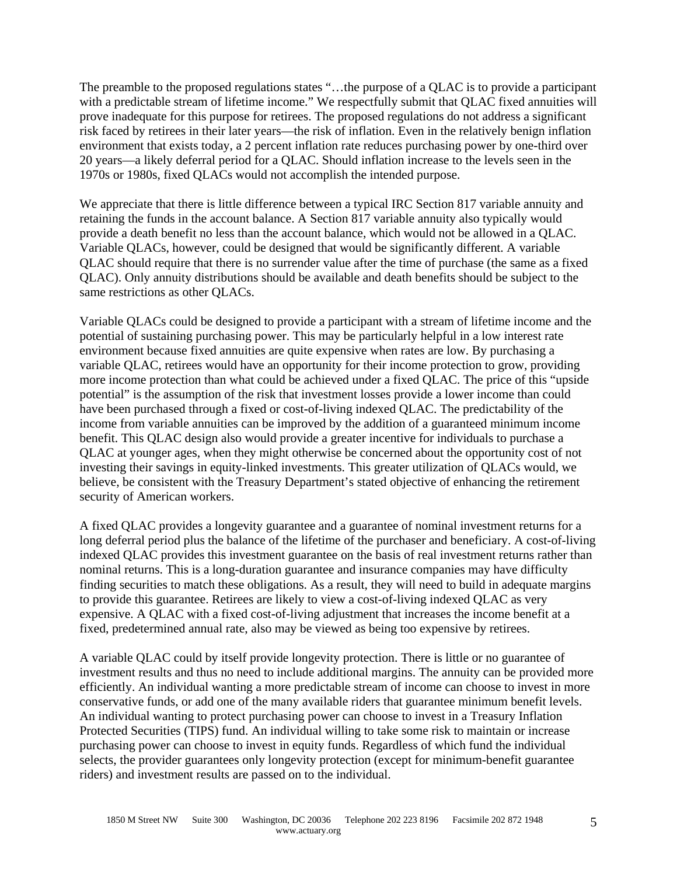The preamble to the proposed regulations states "…the purpose of a QLAC is to provide a participant with a predictable stream of lifetime income." We respectfully submit that QLAC fixed annuities will prove inadequate for this purpose for retirees. The proposed regulations do not address a significant risk faced by retirees in their later years—the risk of inflation. Even in the relatively benign inflation environment that exists today, a 2 percent inflation rate reduces purchasing power by one-third over 20 years—a likely deferral period for a QLAC. Should inflation increase to the levels seen in the 1970s or 1980s, fixed QLACs would not accomplish the intended purpose.

We appreciate that there is little difference between a typical IRC Section 817 variable annuity and retaining the funds in the account balance. A Section 817 variable annuity also typically would provide a death benefit no less than the account balance, which would not be allowed in a QLAC. Variable QLACs, however, could be designed that would be significantly different. A variable QLAC should require that there is no surrender value after the time of purchase (the same as a fixed QLAC). Only annuity distributions should be available and death benefits should be subject to the same restrictions as other QLACs.

Variable QLACs could be designed to provide a participant with a stream of lifetime income and the potential of sustaining purchasing power. This may be particularly helpful in a low interest rate environment because fixed annuities are quite expensive when rates are low. By purchasing a variable QLAC, retirees would have an opportunity for their income protection to grow, providing more income protection than what could be achieved under a fixed QLAC. The price of this "upside potential" is the assumption of the risk that investment losses provide a lower income than could have been purchased through a fixed or cost-of-living indexed QLAC. The predictability of the income from variable annuities can be improved by the addition of a guaranteed minimum income benefit. This QLAC design also would provide a greater incentive for individuals to purchase a QLAC at younger ages, when they might otherwise be concerned about the opportunity cost of not investing their savings in equity-linked investments. This greater utilization of QLACs would, we believe, be consistent with the Treasury Department's stated objective of enhancing the retirement security of American workers.

A fixed QLAC provides a longevity guarantee and a guarantee of nominal investment returns for a long deferral period plus the balance of the lifetime of the purchaser and beneficiary. A cost-of-living indexed QLAC provides this investment guarantee on the basis of real investment returns rather than nominal returns. This is a long-duration guarantee and insurance companies may have difficulty finding securities to match these obligations. As a result, they will need to build in adequate margins to provide this guarantee. Retirees are likely to view a cost-of-living indexed QLAC as very expensive. A QLAC with a fixed cost-of-living adjustment that increases the income benefit at a fixed, predetermined annual rate, also may be viewed as being too expensive by retirees.

A variable QLAC could by itself provide longevity protection. There is little or no guarantee of investment results and thus no need to include additional margins. The annuity can be provided more efficiently. An individual wanting a more predictable stream of income can choose to invest in more conservative funds, or add one of the many available riders that guarantee minimum benefit levels. An individual wanting to protect purchasing power can choose to invest in a Treasury Inflation Protected Securities (TIPS) fund. An individual willing to take some risk to maintain or increase purchasing power can choose to invest in equity funds. Regardless of which fund the individual selects, the provider guarantees only longevity protection (except for minimum-benefit guarantee riders) and investment results are passed on to the individual.